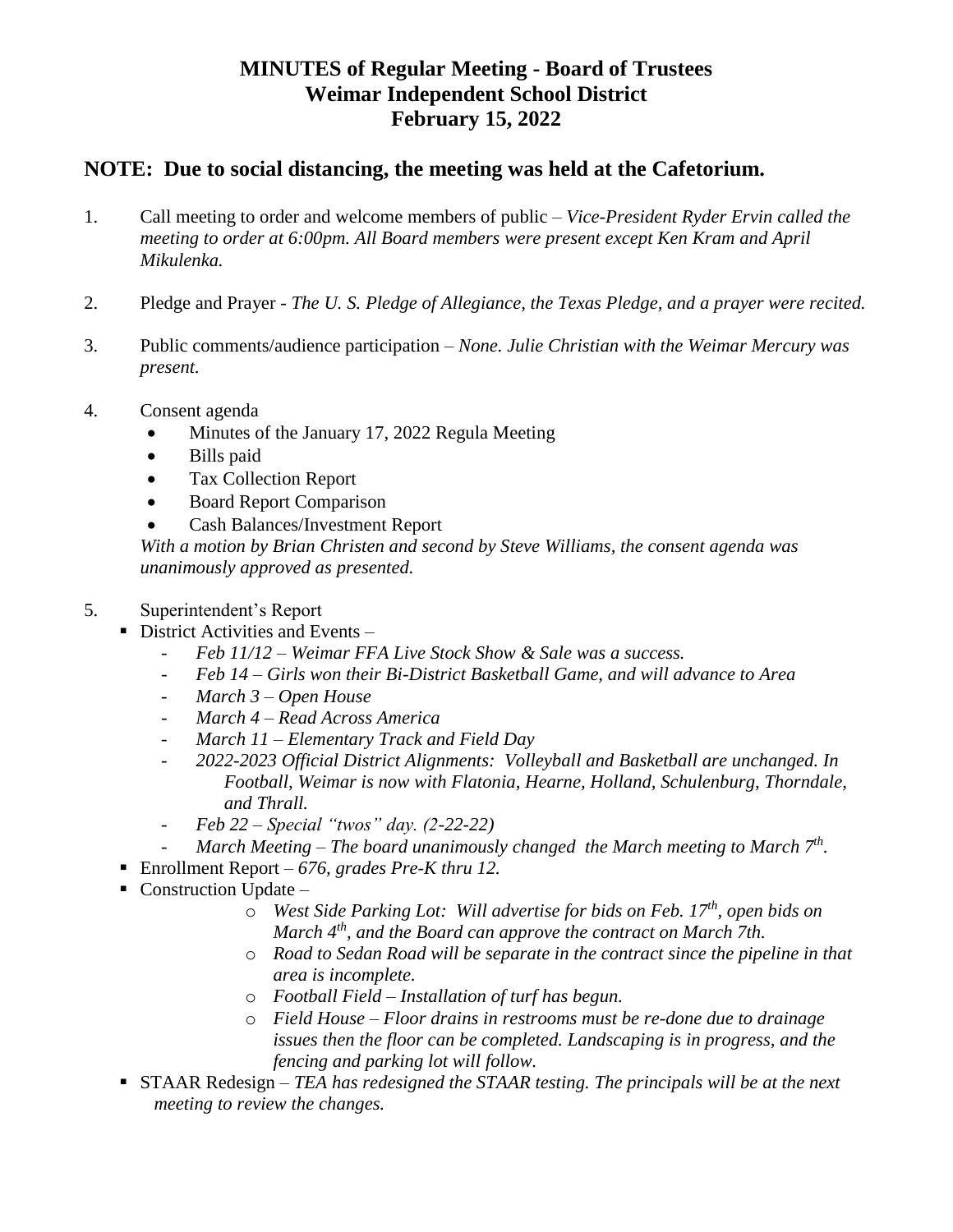## **MINUTES of Regular Meeting - Board of Trustees Weimar Independent School District February 15, 2022**

## **NOTE: Due to social distancing, the meeting was held at the Cafetorium.**

- 1. Call meeting to order and welcome members of public *Vice-President Ryder Ervin called the meeting to order at 6:00pm. All Board members were present except Ken Kram and April Mikulenka.*
- 2. Pledge and Prayer *The U. S. Pledge of Allegiance, the Texas Pledge, and a prayer were recited.*
- 3. Public comments/audience participation *None. Julie Christian with the Weimar Mercury was present.*
- 4. Consent agenda
	- Minutes of the January 17, 2022 Regula Meeting
	- Bills paid
	- Tax Collection Report
	- Board Report Comparison
	- Cash Balances/Investment Report

*With a motion by Brian Christen and second by Steve Williams, the consent agenda was unanimously approved as presented.*

## 5. Superintendent's Report

- $\blacksquare$  District Activities and Events
	- *Feb 11/12 – Weimar FFA Live Stock Show & Sale was a success.*
	- *Feb 14 – Girls won their Bi-District Basketball Game, and will advance to Area*
	- *March 3 – Open House*
	- *March 4 – Read Across America*
	- *March 11 – Elementary Track and Field Day*
	- *2022-2023 Official District Alignments: Volleyball and Basketball are unchanged. In Football, Weimar is now with Flatonia, Hearne, Holland, Schulenburg, Thorndale, and Thrall.*
	- *Feb 22 – Special "twos" day. (2-22-22)*
	- *March Meeting – The board unanimously changed the March meeting to March 7th .*
- Enrollment Report  *676, grades Pre-K thru 12.*
- $\blacksquare$  Construction Update
	- o *West Side Parking Lot: Will advertise for bids on Feb. 17th, open bids on March 4th, and the Board can approve the contract on March 7th.*
	- o *Road to Sedan Road will be separate in the contract since the pipeline in that area is incomplete.*
	- o *Football Field – Installation of turf has begun.*
	- o *Field House – Floor drains in restrooms must be re-done due to drainage issues then the floor can be completed. Landscaping is in progress, and the fencing and parking lot will follow.*
- STAAR Redesign *TEA has redesigned the STAAR testing. The principals will be at the next meeting to review the changes.*